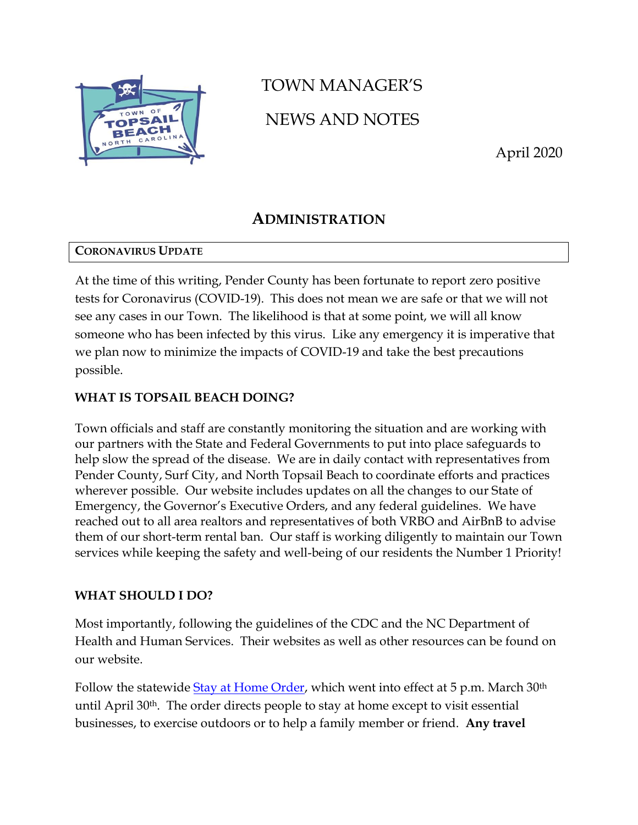

# TOWN MANAGER'S NEWS AND NOTES

April 2020

# **ADMINISTRATION**

## **CORONAVIRUS UPDATE**

At the time of this writing, Pender County has been fortunate to report zero positive tests for Coronavirus (COVID-19). This does not mean we are safe or that we will not see any cases in our Town. The likelihood is that at some point, we will all know someone who has been infected by this virus. Like any emergency it is imperative that we plan now to minimize the impacts of COVID-19 and take the best precautions possible.

## **WHAT IS TOPSAIL BEACH DOING?**

Town officials and staff are constantly monitoring the situation and are working with our partners with the State and Federal Governments to put into place safeguards to help slow the spread of the disease. We are in daily contact with representatives from Pender County, Surf City, and North Topsail Beach to coordinate efforts and practices wherever possible. Our website includes updates on all the changes to our State of Emergency, the Governor's Executive Orders, and any federal guidelines. We have reached out to all area realtors and representatives of both VRBO and AirBnB to advise them of our short-term rental ban. Our staff is working diligently to maintain our Town services while keeping the safety and well-being of our residents the Number 1 Priority!

## **WHAT SHOULD I DO?**

Most importantly, following the guidelines of the CDC and the NC Department of Health and Human Services. Their websites as well as other resources can be found on our website.

Follow the statewide [Stay at Home Order,](https://files.nc.gov/governor/documents/files/EO121-Stay-at-Home-Order-3.pdf) which went into effect at 5 p.m. March 30<sup>th</sup> until April 30th. The order directs people to stay at home except to visit essential businesses, to exercise outdoors or to help a family member or friend. **Any travel**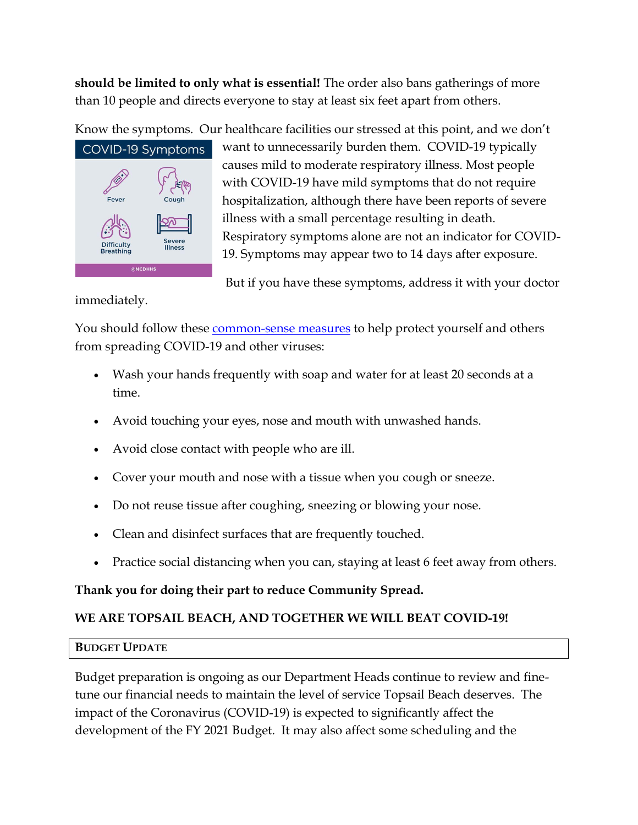**should be limited to only what is essential!** The order also bans gatherings of more than 10 people and directs everyone to stay at least six feet apart from others.

Know the symptoms. Our healthcare facilities our stressed at this point, and we don't



want to unnecessarily burden them. COVID-19 typically causes mild to moderate respiratory illness. Most people with COVID-19 have mild symptoms that do not require hospitalization, although there have been reports of severe illness with a small percentage resulting in death. Respiratory symptoms alone are not an indicator for COVID-19. Symptoms may appear two to 14 days after exposure.

But if you have these symptoms, address it with your doctor

immediately.

You should follow these **[common-sense measures](https://www.cdc.gov/coronavirus/2019-ncov/about/prevention-treatment.html)** to help protect yourself and others from spreading COVID-19 and other viruses:

- Wash your hands frequently with soap and water for at least 20 seconds at a time.
- Avoid touching your eyes, nose and mouth with unwashed hands.
- Avoid close contact with people who are ill.
- Cover your mouth and nose with a tissue when you cough or sneeze.
- Do not reuse tissue after coughing, sneezing or blowing your nose.
- Clean and disinfect surfaces that are frequently touched.
- Practice social distancing when you can, staying at least 6 feet away from others.

## **Thank you for doing their part to reduce Community Spread.**

## **WE ARE TOPSAIL BEACH, AND TOGETHER WE WILL BEAT COVID-19!**

## **BUDGET UPDATE**

Budget preparation is ongoing as our Department Heads continue to review and finetune our financial needs to maintain the level of service Topsail Beach deserves. The impact of the Coronavirus (COVID-19) is expected to significantly affect the development of the FY 2021 Budget. It may also affect some scheduling and the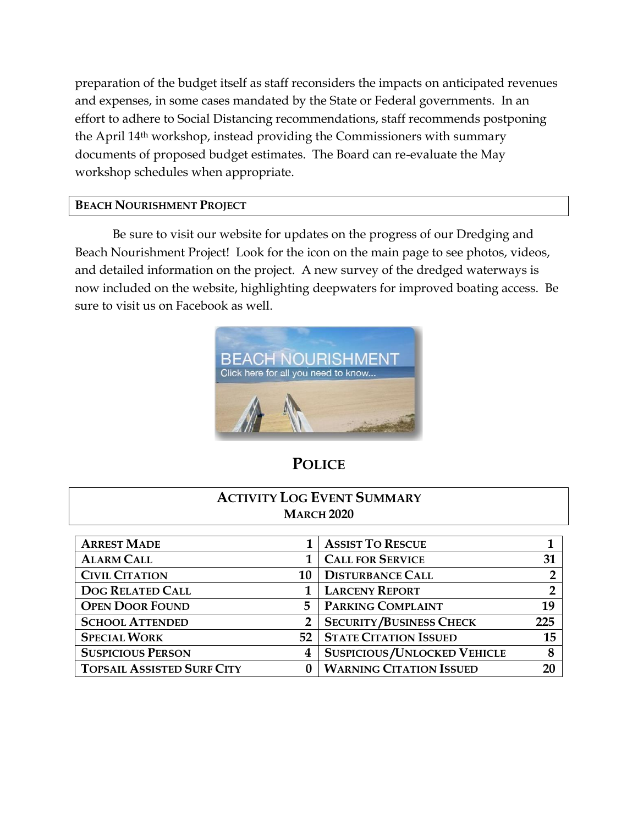preparation of the budget itself as staff reconsiders the impacts on anticipated revenues and expenses, in some cases mandated by the State or Federal governments. In an effort to adhere to Social Distancing recommendations, staff recommends postponing the April 14th workshop, instead providing the Commissioners with summary documents of proposed budget estimates. The Board can re-evaluate the May workshop schedules when appropriate.

#### **BEACH NOURISHMENT PROJECT**

Be sure to visit our website for updates on the progress of our Dredging and Beach Nourishment Project! Look for the icon on the main page to see photos, videos, and detailed information on the project. A new survey of the dredged waterways is now included on the website, highlighting deepwaters for improved boating access. Be sure to visit us on Facebook as well.



# **POLICE**

## **ACTIVITY LOG EVENT SUMMARY MARCH 2020**

| <b>ARREST MADE</b>                |              | <b>ASSIST TO RESCUE</b>              |                |
|-----------------------------------|--------------|--------------------------------------|----------------|
| <b>ALARM CALL</b>                 |              | <b>CALL FOR SERVICE</b>              | 31             |
| <b>CIVIL CITATION</b>             | 10           | <b>DISTURBANCE CALL</b>              | 2              |
| <b>DOG RELATED CALL</b>           |              | <b>LARCENY REPORT</b>                | $\overline{2}$ |
| <b>OPEN DOOR FOUND</b>            | 5            | PARKING COMPLAINT                    | 19             |
| <b>SCHOOL ATTENDED</b>            | $\mathbf{2}$ | <b>SECURITY/BUSINESS CHECK</b>       | 225            |
| <b>SPECIAL WORK</b>               |              | <b>52   STATE CITATION ISSUED</b>    | 15             |
| <b>SUSPICIOUS PERSON</b>          | 4            | <b>SUSPICIOUS / UNLOCKED VEHICLE</b> | 8              |
| <b>TOPSAIL ASSISTED SURF CITY</b> |              | <b>WARNING CITATION ISSUED</b>       | 20             |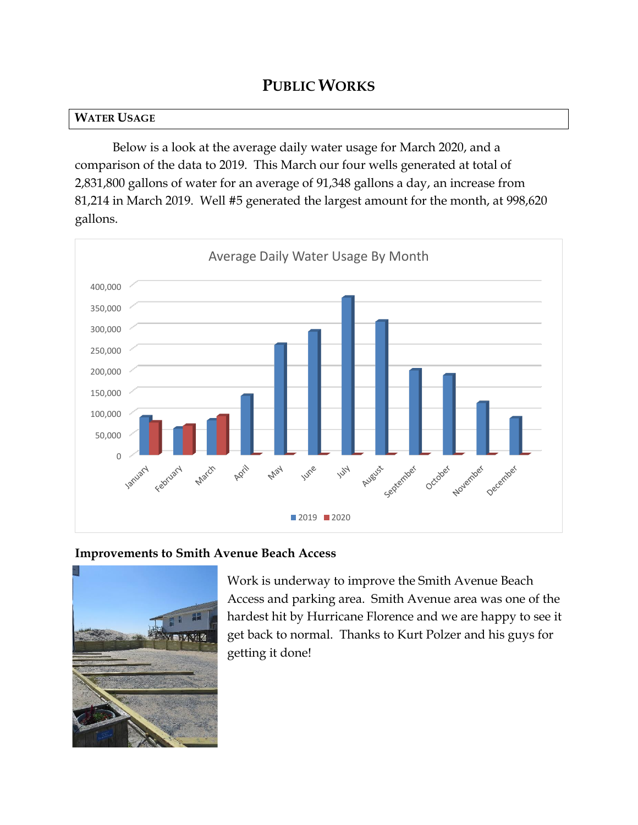# **PUBLIC WORKS**

#### **WATER USAGE**

Below is a look at the average daily water usage for March 2020, and a comparison of the data to 2019. This March our four wells generated at total of 2,831,800 gallons of water for an average of 91,348 gallons a day, an increase from 81,214 in March 2019. Well #5 generated the largest amount for the month, at 998,620 gallons.



#### **Improvements to Smith Avenue Beach Access**



Work is underway to improve the Smith Avenue Beach Access and parking area. Smith Avenue area was one of the hardest hit by Hurricane Florence and we are happy to see it get back to normal. Thanks to Kurt Polzer and his guys for getting it done!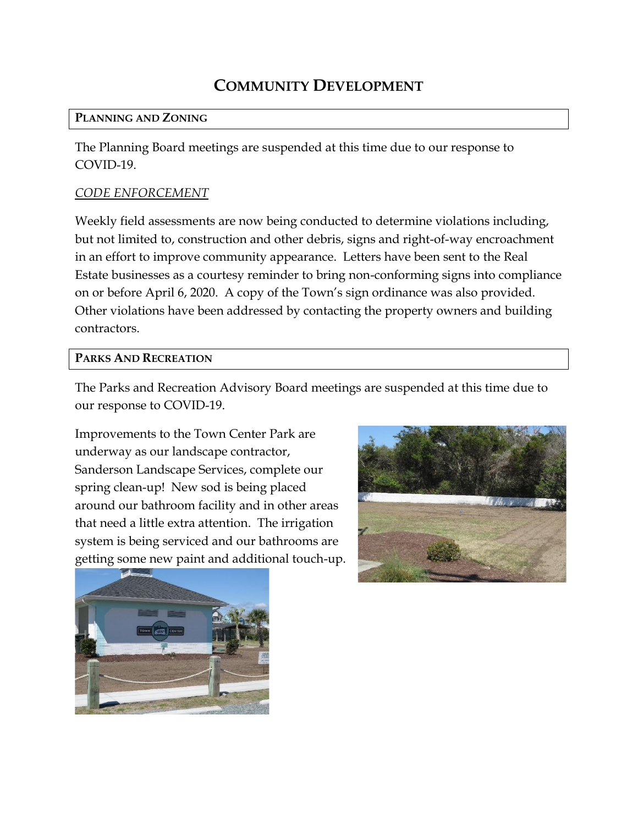# **COMMUNITY DEVELOPMENT**

#### **PLANNING AND ZONING**

The Planning Board meetings are suspended at this time due to our response to COVID-19.

## *CODE ENFORCEMENT*

Weekly field assessments are now being conducted to determine violations including, but not limited to, construction and other debris, signs and right-of-way encroachment in an effort to improve community appearance. Letters have been sent to the Real Estate businesses as a courtesy reminder to bring non-conforming signs into compliance on or before April 6, 2020. A copy of the Town's sign ordinance was also provided. Other violations have been addressed by contacting the property owners and building contractors.

#### **PARKS AND RECREATION**

The Parks and Recreation Advisory Board meetings are suspended at this time due to our response to COVID-19.

Improvements to the Town Center Park are underway as our landscape contractor, Sanderson Landscape Services, complete our spring clean-up! New sod is being placed around our bathroom facility and in other areas that need a little extra attention. The irrigation system is being serviced and our bathrooms are getting some new paint and additional touch-up.